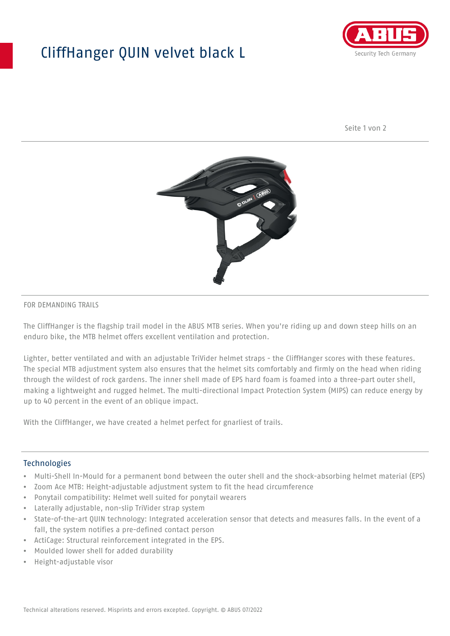## CliffHanger QUIN velvet black L



Seite 1 von 2



#### FOR DEMANDING TRAILS

The CliffHanger is the flagship trail model in the ABUS MTB series. When you're riding up and down steep hills on an enduro bike, the MTB helmet offers excellent ventilation and protection.

Lighter, better ventilated and with an adjustable TriVider helmet straps - the CliffHanger scores with these features. The special MTB adjustment system also ensures that the helmet sits comfortably and firmly on the head when riding through the wildest of rock gardens. The inner shell made of EPS hard foam is foamed into a three-part outer shell, making a lightweight and rugged helmet. The multi-directional Impact Protection System (MIPS) can reduce energy by up to 40 percent in the event of an oblique impact.

With the CliffHanger, we have created a helmet perfect for gnarliest of trails.

#### Technologies

- Multi-Shell In-Mould for a permanent bond between the outer shell and the shock-absorbing helmet material (EPS)
- Zoom Ace MTB: Height-adjustable adjustment system to fit the head circumference
- Ponytail compatibility: Helmet well suited for ponytail wearers
- Laterally adjustable, non-slip TriVider strap system
- State-of-the-art QUIN technology: Integrated acceleration sensor that detects and measures falls. In the event of a fall, the system notifies a pre-defined contact person
- ActiCage: Structural reinforcement integrated in the EPS.
- Moulded lower shell for added durability
- Height-adjustable visor